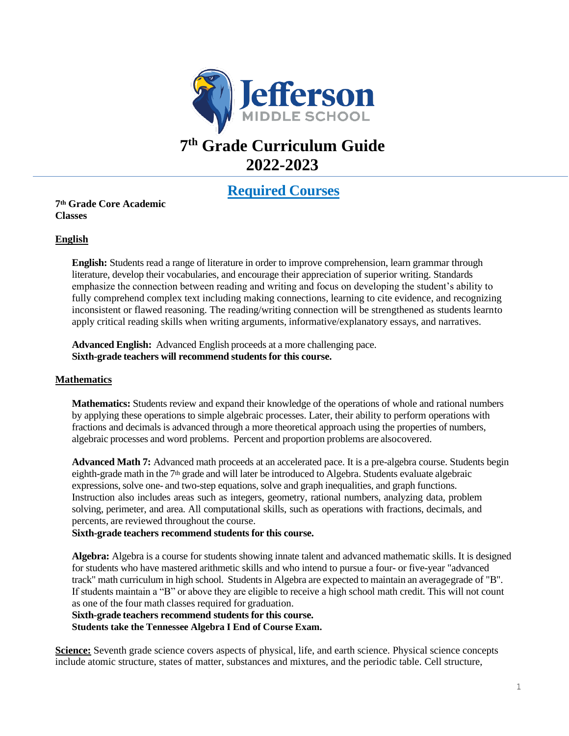

# **7 th Grade Curriculum Guide 2022-2023**

# **Required Courses**

# **7th Grade Core Academic Classes**

# **English**

**English:** Students read a range of literature in order to improve comprehension, learn grammar through literature, develop their vocabularies, and encourage their appreciation of superior writing. Standards emphasize the connection between reading and writing and focus on developing the student's ability to fully comprehend complex text including making connections, learning to cite evidence, and recognizing inconsistent or flawed reasoning. The reading/writing connection will be strengthened as students learnto apply critical reading skills when writing arguments, informative/explanatory essays, and narratives.

**Advanced English:** Advanced English proceeds at a more challenging pace. **Sixth-grade teachers will recommend students for this course.**

#### **Mathematics**

**Mathematics:** Students review and expand their knowledge of the operations of whole and rational numbers by applying these operations to simple algebraic processes. Later, their ability to perform operations with fractions and decimals is advanced through a more theoretical approach using the properties of numbers, algebraic processes and word problems. Percent and proportion problems are alsocovered.

**Advanced Math 7:** Advanced math proceeds at an accelerated pace. It is a pre-algebra course. Students begin eighth-grade math in the  $7<sup>th</sup>$  grade and will later be introduced to Algebra. Students evaluate algebraic expressions, solve one- and two-step equations, solve and graph inequalities, and graph functions. Instruction also includes areas such as integers, geometry, rational numbers, analyzing data, problem solving, perimeter, and area. All computational skills, such as operations with fractions, decimals, and percents, are reviewed throughout the course.

#### **Sixth-grade teachers recommend students for this course.**

**Algebra:** Algebra is a course for students showing innate talent and advanced mathematic skills. It is designed for students who have mastered arithmetic skills and who intend to pursue a four- or five-year "advanced track" math curriculum in high school. Studentsin Algebra are expected to maintain an averagegrade of "B". If students maintain a "B" or above they are eligible to receive a high school math credit. This will not count as one of the four math classes required for graduation.

**Sixth-grade teachers recommend students for this course.**

**Students take the Tennessee Algebra I End of Course Exam.**

**Science:** Seventh grade science covers aspects of physical, life, and earth science. Physical science concepts include atomic structure, states of matter, substances and mixtures, and the periodic table. Cell structure,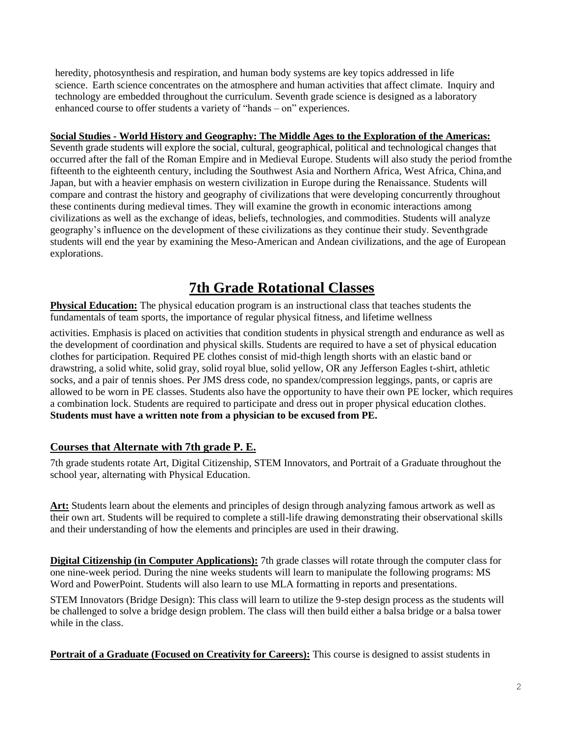heredity, photosynthesis and respiration, and human body systems are key topics addressed in life science. Earth science concentrates on the atmosphere and human activities that affect climate. Inquiry and technology are embedded throughout the curriculum. Seventh grade science is designed as a laboratory enhanced course to offer students a variety of "hands – on" experiences.

# **Social Studies - World History and Geography: The Middle Ages to the Exploration of the Americas:**

Seventh grade students will explore the social, cultural, geographical, political and technological changes that occurred after the fall of the Roman Empire and in Medieval Europe. Students will also study the period fromthe fifteenth to the eighteenth century, including the Southwest Asia and Northern Africa, West Africa, China,and Japan, but with a heavier emphasis on western civilization in Europe during the Renaissance. Students will compare and contrast the history and geography of civilizations that were developing concurrently throughout these continents during medieval times. They will examine the growth in economic interactions among civilizations as well as the exchange of ideas, beliefs, technologies, and commodities. Students will analyze geography's influence on the development of these civilizations as they continue their study. Seventhgrade students will end the year by examining the Meso-American and Andean civilizations, and the age of European explorations.

# **7th Grade Rotational Classes**

**Physical Education:** The physical education program is an instructional class that teaches students the fundamentals of team sports, the importance of regular physical fitness, and lifetime wellness

activities. Emphasis is placed on activities that condition students in physical strength and endurance as well as the development of coordination and physical skills. Students are required to have a set of physical education clothes for participation. Required PE clothes consist of mid-thigh length shorts with an elastic band or drawstring, a solid white, solid gray, solid royal blue, solid yellow, OR any Jefferson Eagles t-shirt, athletic socks, and a pair of tennis shoes. Per JMS dress code, no spandex/compression leggings, pants, or capris are allowed to be worn in PE classes. Students also have the opportunity to have their own PE locker, which requires a combination lock. Students are required to participate and dress out in proper physical education clothes. **Students must have a written note from a physician to be excused from PE.**

# **Courses that Alternate with 7th grade P. E.**

7th grade students rotate Art, Digital Citizenship, STEM Innovators, and Portrait of a Graduate throughout the school year, alternating with Physical Education.

**Art:** Students learn about the elements and principles of design through analyzing famous artwork as well as their own art. Students will be required to complete a still-life drawing demonstrating their observational skills and their understanding of how the elements and principles are used in their drawing.

**Digital Citizenship (in Computer Applications):** 7th grade classes will rotate through the computer class for one nine-week period. During the nine weeks students will learn to manipulate the following programs: MS Word and PowerPoint. Students will also learn to use MLA formatting in reports and presentations.

STEM Innovators (Bridge Design): This class will learn to utilize the 9-step design process as the students will be challenged to solve a bridge design problem. The class will then build either a balsa bridge or a balsa tower while in the class.

**Portrait of a Graduate (Focused on Creativity for Careers):** This course is designed to assist students in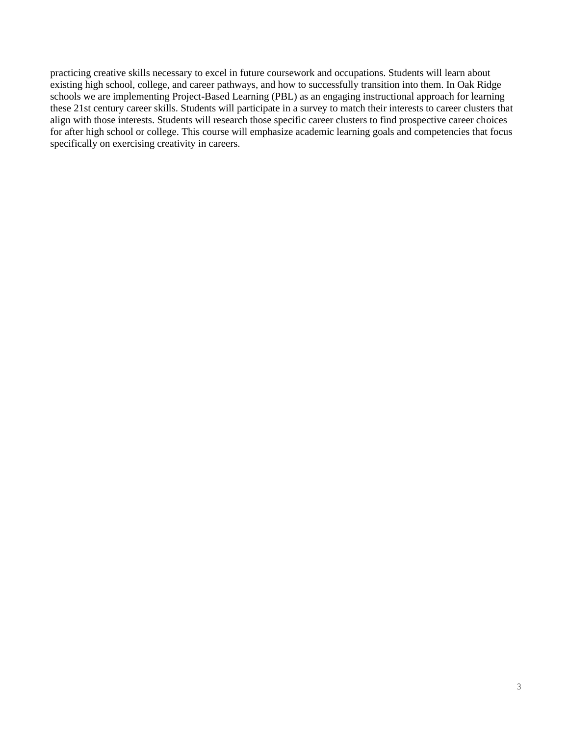practicing creative skills necessary to excel in future coursework and occupations. Students will learn about existing high school, college, and career pathways, and how to successfully transition into them. In Oak Ridge schools we are implementing Project-Based Learning (PBL) as an engaging instructional approach for learning these 21st century career skills. Students will participate in a survey to match their interests to career clusters that align with those interests. Students will research those specific career clusters to find prospective career choices for after high school or college. This course will emphasize academic learning goals and competencies that focus specifically on exercising creativity in careers.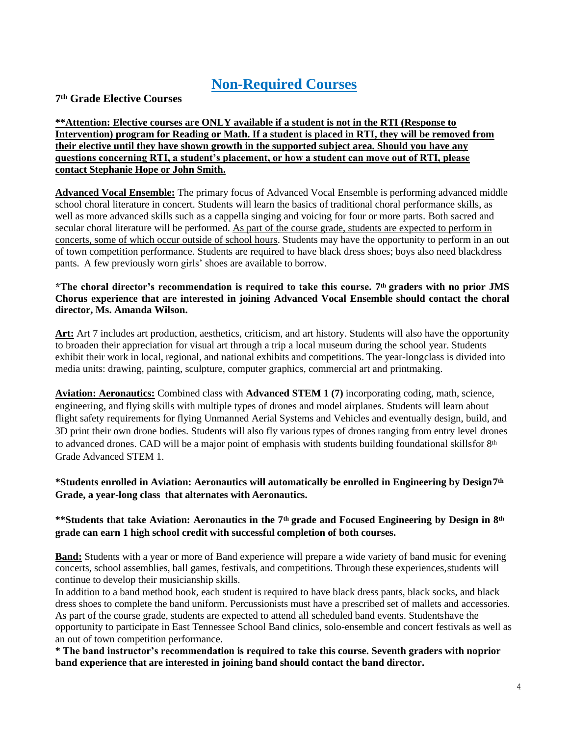# **Non-Required Courses**

# **7th Grade Elective Courses**

# **\*\*Attention: Elective courses are ONLY available if a student is not in the RTI (Response to Intervention) program for Reading or Math. If a student is placed in RTI, they will be removed from their elective until they have shown growth in the supported subject area. Should you have any questions concerning RTI, a student's placement, or how a student can move out of RTI, please contact Stephanie Hope or John Smith.**

**Advanced Vocal Ensemble:** The primary focus of Advanced Vocal Ensemble is performing advanced middle school choral literature in concert. Students will learn the basics of traditional choral performance skills, as well as more advanced skills such as a cappella singing and voicing for four or more parts. Both sacred and secular choral literature will be performed. As part of the course grade, students are expected to perform in concerts, some of which occur outside of school hours. Students may have the opportunity to perform in an out of town competition performance. Students are required to have black dress shoes; boys also need blackdress pants. A few previously worn girls' shoes are available to borrow.

#### **\*The choral director's recommendation is required to take this course. 7th graders with no prior JMS Chorus experience that are interested in joining Advanced Vocal Ensemble should contact the choral director, Ms. Amanda Wilson.**

**Art:** Art 7 includes art production, aesthetics, criticism, and art history. Students will also have the opportunity to broaden their appreciation for visual art through a trip a local museum during the school year. Students exhibit their work in local, regional, and national exhibits and competitions. The year-longclass is divided into media units: drawing, painting, sculpture, computer graphics, commercial art and printmaking.

**Aviation: Aeronautics:** Combined class with **Advanced STEM 1 (7)** incorporating coding, math, science, engineering, and flying skills with multiple types of drones and model airplanes. Students will learn about flight safety requirements for flying Unmanned Aerial Systems and Vehicles and eventually design, build, and 3D print their own drone bodies. Students will also fly various types of drones ranging from entry level drones to advanced drones. CAD will be a major point of emphasis with students building foundational skillsfor  $8<sup>th</sup>$ Grade Advanced STEM 1.

# **\*Students enrolled in Aviation: Aeronautics will automatically be enrolled in Engineering by Design7th Grade, a year-long class that alternates with Aeronautics.**

# **\*\*Students that take Aviation: Aeronautics in the 7th grade and Focused Engineering by Design in 8th grade can earn 1 high school credit with successful completion of both courses.**

**Band:** Students with a year or more of Band experience will prepare a wide variety of band music for evening concerts, school assemblies, ball games, festivals, and competitions. Through these experiences,students will continue to develop their musicianship skills.

In addition to a band method book, each student is required to have black dress pants, black socks, and black dress shoes to complete the band uniform. Percussionists must have a prescribed set of mallets and accessories. As part of the course grade, students are expected to attend all scheduled band events. Studentshave the opportunity to participate in East Tennessee School Band clinics, solo-ensemble and concert festivals as well as an out of town competition performance.

**\* The band instructor's recommendation is required to take this course. Seventh graders with noprior band experience that are interested in joining band should contact the band director.**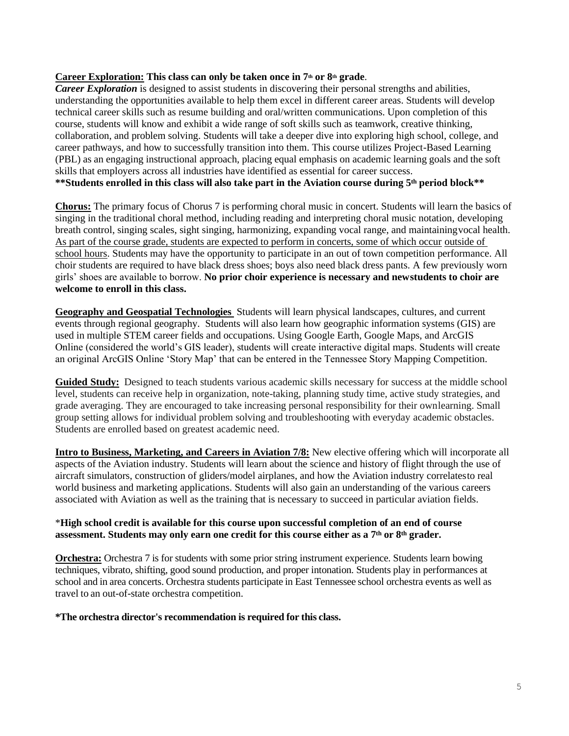#### **Career Exploration: This class can only be taken once in 7th or 8th grade**.

*Career Exploration* is designed to assist students in discovering their personal strengths and abilities, understanding the opportunities available to help them excel in different career areas. Students will develop technical career skills such as resume building and oral/written communications. Upon completion of this course, students will know and exhibit a wide range of soft skills such as teamwork, creative thinking, collaboration, and problem solving. Students will take a deeper dive into exploring high school, college, and career pathways, and how to successfully transition into them. This course utilizes Project-Based Learning (PBL) as an engaging instructional approach, placing equal emphasis on academic learning goals and the soft skills that employers across all industries have identified as essential for career success. \*\*Students enrolled in this class will also take part in the Aviation course during 5<sup>th</sup> period block\*\*

**Chorus:** The primary focus of Chorus 7 is performing choral music in concert. Students will learn the basics of singing in the traditional choral method, including reading and interpreting choral music notation, developing breath control, singing scales, sight singing, harmonizing, expanding vocal range, and maintainingvocal health. As part of the course grade, students are expected to perform in concerts, some of which occur outside of school hours. Students may have the opportunity to participate in an out of town competition performance. All choir students are required to have black dress shoes; boys also need black dress pants. A few previously worn girls' shoes are available to borrow. **No prior choir experience is necessary and newstudents to choir are welcome to enroll in this class.**

**Geography and Geospatial Technologies** Students will learn physical landscapes, cultures, and current events through regional geography. Students will also learn how geographic information systems (GIS) are used in multiple STEM career fields and occupations. Using Google Earth, Google Maps, and ArcGIS Online (considered the world's GIS leader), students will create interactive digital maps. Students will create an original ArcGIS Online 'Story Map' that can be entered in the Tennessee Story Mapping Competition.

**Guided Study:** Designed to teach students various academic skills necessary for success at the middle school level, students can receive help in organization, note-taking, planning study time, active study strategies, and grade averaging. They are encouraged to take increasing personal responsibility for their ownlearning. Small group setting allows for individual problem solving and troubleshooting with everyday academic obstacles. Students are enrolled based on greatest academic need.

**Intro to Business, Marketing, and Careers in Aviation 7/8:** New elective offering which will incorporate all aspects of the Aviation industry. Students will learn about the science and history of flight through the use of aircraft simulators, construction of gliders/model airplanes, and how the Aviation industry correlatesto real world business and marketing applications. Students will also gain an understanding of the various careers associated with Aviation as well as the training that is necessary to succeed in particular aviation fields.

#### \***High school credit is available for this course upon successful completion of an end of course** assessment. Students may only earn one credit for this course either as a 7<sup>th</sup> or 8<sup>th</sup> grader.

**Orchestra:** Orchestra 7 is for students with some prior string instrument experience. Students learn bowing techniques, vibrato, shifting, good sound production, and proper intonation. Students play in performances at school and in area concerts. Orchestra students participate in East Tennessee school orchestra events as well as travel to an out-of-state orchestra competition.

#### **\*The orchestra director's recommendation is required for this class.**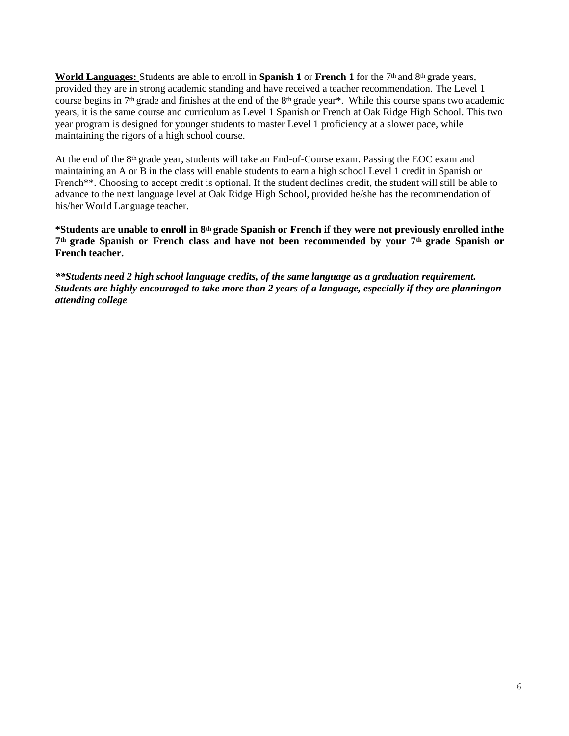World Languages: Students are able to enroll in Spanish 1 or French 1 for the 7<sup>th</sup> and 8<sup>th</sup> grade years, provided they are in strong academic standing and have received a teacher recommendation. The Level 1 course begins in 7th grade and finishes at the end of the 8th grade year\*. While this course spans two academic years, it is the same course and curriculum as Level 1 Spanish or French at Oak Ridge High School. This two year program is designed for younger students to master Level 1 proficiency at a slower pace, while maintaining the rigors of a high school course.

At the end of the 8th grade year, students will take an End-of-Course exam. Passing the EOC exam and maintaining an A or B in the class will enable students to earn a high school Level 1 credit in Spanish or French<sup>\*\*</sup>. Choosing to accept credit is optional. If the student declines credit, the student will still be able to advance to the next language level at Oak Ridge High School, provided he/she has the recommendation of his/her World Language teacher.

**\*Students are unable to enroll in 8th grade Spanish or French if they were not previously enrolled inthe 7th grade Spanish or French class and have not been recommended by your 7th grade Spanish or French teacher.**

*\*\*Students need 2 high school language credits, of the same language as a graduation requirement. Students are highly encouraged to take more than 2 years of a language, especially if they are planningon attending college*